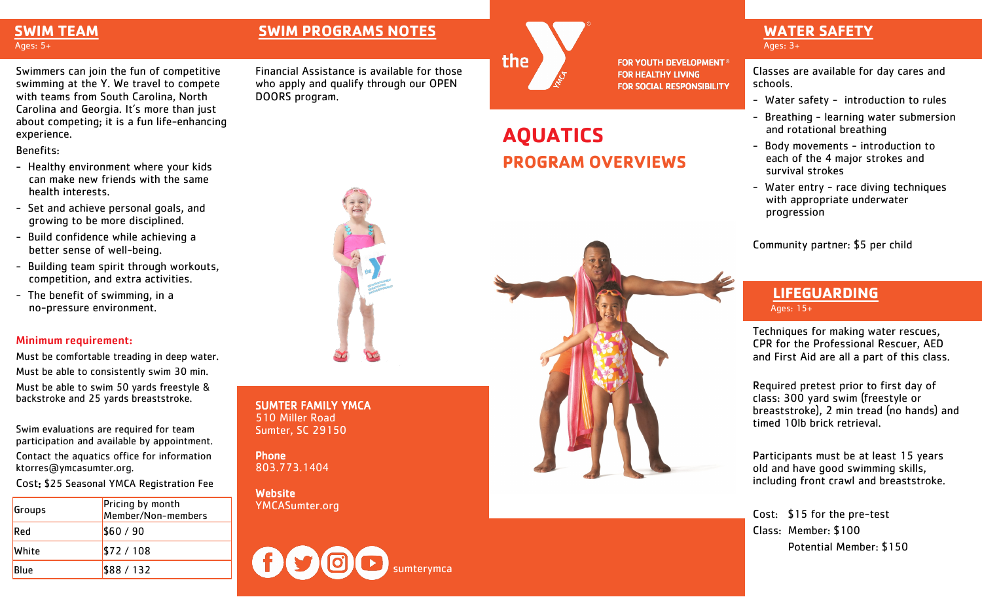#### **SWIM TEAM** Ages: 5+

Swimmers can join the fun of competitive swimming at the Y. We travel to compete with teams from South Carolina, North Carolina and Georgia. It's more than just about competing; it is a fun life-enhancing experience.

Benefits:

- Healthy environment where your kids can make new friends with the same health interests.
- Set and achieve personal goals, and growing to be more disciplined.
- Build confidence while achieving a better sense of well-being.
- Building team spirit through workouts, competition, and extra activities.
- The benefit of swimming, in a no-pressure environment.

#### Minimum requirement:

Must be comfortable treading in deep water. Must be able to consistently swim 30 min. Must be able to swim 50 yards freestyle & backstroke and 25 yards breaststroke.

Swim evaluations are required for team participation and available by appointment.

Contact the aquatics office for information ktorres@ymcasumter.org.

Cost: \$25 Seasonal YMCA Registration Fee

| Groups      | Pricing by month<br>Member/Non-members |
|-------------|----------------------------------------|
| Red         | \$60/90                                |
| White       | \$72/108                               |
| <b>Blue</b> | \$88/132                               |

### **SWIM PROGRAMS NOTES WATER SAFETY**

Financial Assistance is available for those who apply and qualify through our OPEN DOORS program.



**FOR YOUTH DEVELOPMENT<sup>®</sup> FOR HEALTHY LIVING FOR SOCIAL RESPONSIBILITY** 

## **AQUATICS PROGRAM OVERVIEWS**

# Ages: 3+

Classes are available for day cares and schools.

- Water safety introduction to rules
- Breathing learning water submersion and rotational breathing
- Body movements introduction to each of the 4 major strokes and survival strokes
- Water entry race diving techniques with appropriate underwater progression

Community partner: \$5 per child

#### **LIFEGUARDING** Ages: 15+

Techniques for making water rescues, CPR for the Professional Rescuer, AED and First Aid are all a part of this class.

Required pretest prior to first day of class: 300 yard swim (freestyle or breaststroke), 2 min tread (no hands) and timed 10lb brick retrieval.

Participants must be at least 15 years old and have good swimming skills, including front crawl and breaststroke.

Cost: \$15 for the pre-test Class: Member: \$100 Potential Member: \$150

SUMTER FAMILY YMCA 510 Miller Road Sumter, SC 29150

**Phone** 803.773.1404

**Website** YMCASumter.org